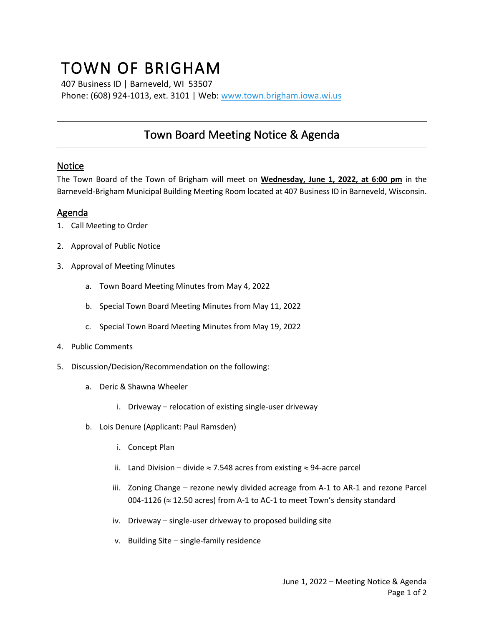## TOWN OF BRIGHAM

407 Business ID | Barneveld, WI 53507 Phone: (608) 924-1013, ext. 3101 | Web[: www.town.brigham.iowa.wi.us](http://www.town.brigham.iowa.wi.us/)

## Town Board Meeting Notice & Agenda

## **Notice**

The Town Board of the Town of Brigham will meet on **Wednesday, June 1, 2022, at 6:00 pm** in the Barneveld-Brigham Municipal Building Meeting Room located at 407 Business ID in Barneveld, Wisconsin.

## Agenda

- 1. Call Meeting to Order
- 2. Approval of Public Notice
- 3. Approval of Meeting Minutes
	- a. Town Board Meeting Minutes from May 4, 2022
	- b. Special Town Board Meeting Minutes from May 11, 2022
	- c. Special Town Board Meeting Minutes from May 19, 2022
- 4. Public Comments
- 5. Discussion/Decision/Recommendation on the following:
	- a. Deric & Shawna Wheeler
		- i. Driveway relocation of existing single-user driveway
	- b. Lois Denure (Applicant: Paul Ramsden)
		- i. Concept Plan
		- ii. Land Division divide  $\approx$  7.548 acres from existing  $\approx$  94-acre parcel
		- iii. Zoning Change rezone newly divided acreage from A-1 to AR-1 and rezone Parcel 004-1126 ( $\approx$  12.50 acres) from A-1 to AC-1 to meet Town's density standard
		- iv. Driveway single-user driveway to proposed building site
		- v. Building Site single-family residence